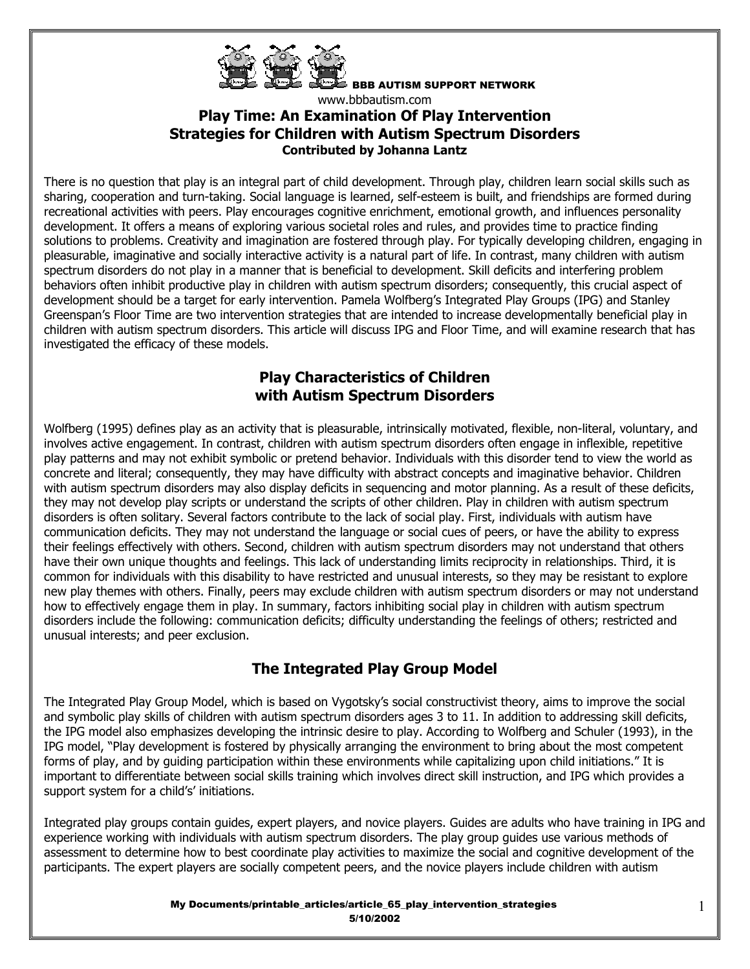

BBB AUTISM SUPPORT NETWORK www.bbbautism.com **Play Time: An Examination Of Play Intervention Strategies for Children with Autism Spectrum Disorders**

**Contributed by Johanna Lantz**

There is no question that play is an integral part of child development. Through play, children learn social skills such as sharing, cooperation and turn-taking. Social language is learned, self-esteem is built, and friendships are formed during recreational activities with peers. Play encourages cognitive enrichment, emotional growth, and influences personality development. It offers a means of exploring various societal roles and rules, and provides time to practice finding solutions to problems. Creativity and imagination are fostered through play. For typically developing children, engaging in pleasurable, imaginative and socially interactive activity is a natural part of life. In contrast, many children with autism spectrum disorders do not play in a manner that is beneficial to development. Skill deficits and interfering problem behaviors often inhibit productive play in children with autism spectrum disorders; consequently, this crucial aspect of development should be a target for early intervention. Pamela Wolfberg's Integrated Play Groups (IPG) and Stanley Greenspan's Floor Time are two intervention strategies that are intended to increase developmentally beneficial play in children with autism spectrum disorders. This article will discuss IPG and Floor Time, and will examine research that has investigated the efficacy of these models.

### **Play Characteristics of Children with Autism Spectrum Disorders**

Wolfberg (1995) defines play as an activity that is pleasurable, intrinsically motivated, flexible, non-literal, voluntary, and involves active engagement. In contrast, children with autism spectrum disorders often engage in inflexible, repetitive play patterns and may not exhibit symbolic or pretend behavior. Individuals with this disorder tend to view the world as concrete and literal; consequently, they may have difficulty with abstract concepts and imaginative behavior. Children with autism spectrum disorders may also display deficits in sequencing and motor planning. As a result of these deficits, they may not develop play scripts or understand the scripts of other children. Play in children with autism spectrum disorders is often solitary. Several factors contribute to the lack of social play. First, individuals with autism have communication deficits. They may not understand the language or social cues of peers, or have the ability to express their feelings effectively with others. Second, children with autism spectrum disorders may not understand that others have their own unique thoughts and feelings. This lack of understanding limits reciprocity in relationships. Third, it is common for individuals with this disability to have restricted and unusual interests, so they may be resistant to explore new play themes with others. Finally, peers may exclude children with autism spectrum disorders or may not understand how to effectively engage them in play. In summary, factors inhibiting social play in children with autism spectrum disorders include the following: communication deficits; difficulty understanding the feelings of others; restricted and unusual interests; and peer exclusion.

# **The Integrated Play Group Model**

The Integrated Play Group Model, which is based on Vygotsky's social constructivist theory, aims to improve the social and symbolic play skills of children with autism spectrum disorders ages 3 to 11. In addition to addressing skill deficits, the IPG model also emphasizes developing the intrinsic desire to play. According to Wolfberg and Schuler (1993), in the IPG model, "Play development is fostered by physically arranging the environment to bring about the most competent forms of play, and by guiding participation within these environments while capitalizing upon child initiations." It is important to differentiate between social skills training which involves direct skill instruction, and IPG which provides a support system for a child's' initiations.

Integrated play groups contain guides, expert players, and novice players. Guides are adults who have training in IPG and experience working with individuals with autism spectrum disorders. The play group guides use various methods of assessment to determine how to best coordinate play activities to maximize the social and cognitive development of the participants. The expert players are socially competent peers, and the novice players include children with autism

> My Documents/printable\_articles/article\_65\_play\_intervention\_strategies 5/10/2002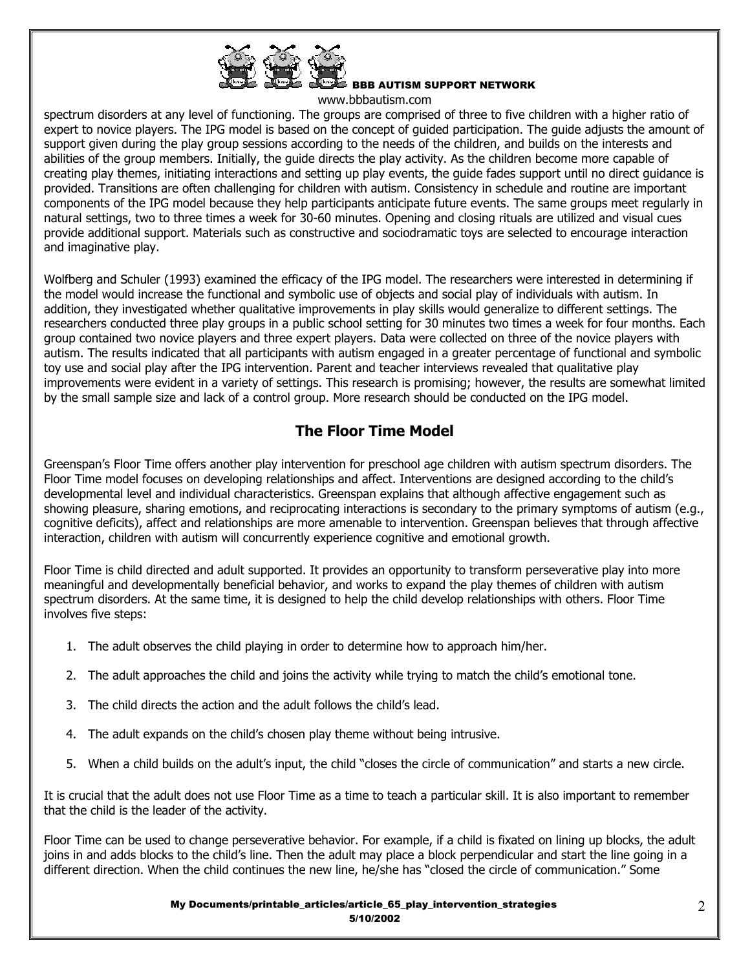

BBB AUTISM SUPPORT NETWORK

www.bbbautism.com

spectrum disorders at any level of functioning. The groups are comprised of three to five children with a higher ratio of expert to novice players. The IPG model is based on the concept of guided participation. The guide adjusts the amount of support given during the play group sessions according to the needs of the children, and builds on the interests and abilities of the group members. Initially, the guide directs the play activity. As the children become more capable of creating play themes, initiating interactions and setting up play events, the guide fades support until no direct guidance is provided. Transitions are often challenging for children with autism. Consistency in schedule and routine are important components of the IPG model because they help participants anticipate future events. The same groups meet regularly in natural settings, two to three times a week for 30-60 minutes. Opening and closing rituals are utilized and visual cues provide additional support. Materials such as constructive and sociodramatic toys are selected to encourage interaction and imaginative play.

Wolfberg and Schuler (1993) examined the efficacy of the IPG model. The researchers were interested in determining if the model would increase the functional and symbolic use of objects and social play of individuals with autism. In addition, they investigated whether qualitative improvements in play skills would generalize to different settings. The researchers conducted three play groups in a public school setting for 30 minutes two times a week for four months. Each group contained two novice players and three expert players. Data were collected on three of the novice players with autism. The results indicated that all participants with autism engaged in a greater percentage of functional and symbolic toy use and social play after the IPG intervention. Parent and teacher interviews revealed that qualitative play improvements were evident in a variety of settings. This research is promising; however, the results are somewhat limited by the small sample size and lack of a control group. More research should be conducted on the IPG model.

# **The Floor Time Model**

Greenspan's Floor Time offers another play intervention for preschool age children with autism spectrum disorders. The Floor Time model focuses on developing relationships and affect. Interventions are designed according to the child's developmental level and individual characteristics. Greenspan explains that although affective engagement such as showing pleasure, sharing emotions, and reciprocating interactions is secondary to the primary symptoms of autism (e.g., cognitive deficits), affect and relationships are more amenable to intervention. Greenspan believes that through affective interaction, children with autism will concurrently experience cognitive and emotional growth.

Floor Time is child directed and adult supported. It provides an opportunity to transform perseverative play into more meaningful and developmentally beneficial behavior, and works to expand the play themes of children with autism spectrum disorders. At the same time, it is designed to help the child develop relationships with others. Floor Time involves five steps:

- 1. The adult observes the child playing in order to determine how to approach him/her.
- 2. The adult approaches the child and joins the activity while trying to match the child's emotional tone.
- 3. The child directs the action and the adult follows the child's lead.
- 4. The adult expands on the child's chosen play theme without being intrusive.
- 5. When a child builds on the adult's input, the child "closes the circle of communication" and starts a new circle.

It is crucial that the adult does not use Floor Time as a time to teach a particular skill. It is also important to remember that the child is the leader of the activity.

Floor Time can be used to change perseverative behavior. For example, if a child is fixated on lining up blocks, the adult joins in and adds blocks to the child's line. Then the adult may place a block perpendicular and start the line going in a different direction. When the child continues the new line, he/she has "closed the circle of communication." Some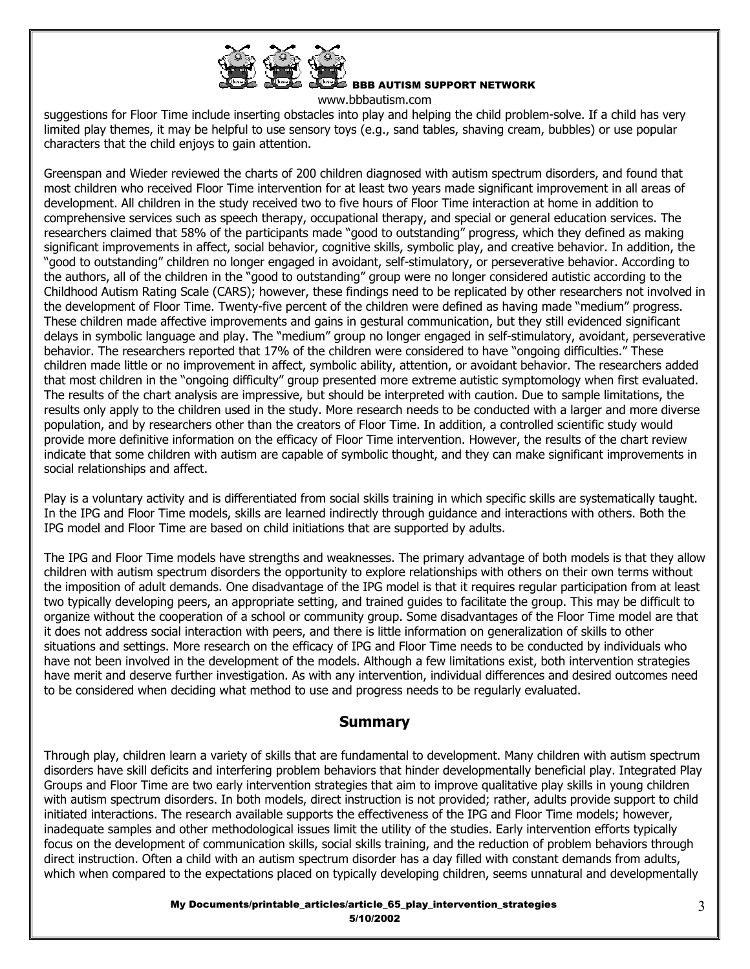

BBB AUTISM SUPPORT NETWORK

www.bbbautism.com

suggestions for Floor Time include inserting obstacles into play and helping the child problem-solve. If a child has very limited play themes, it may be helpful to use sensory toys (e.g., sand tables, shaving cream, bubbles) or use popular characters that the child enjoys to gain attention.

Greenspan and Wieder reviewed the charts of 200 children diagnosed with autism spectrum disorders, and found that most children who received Floor Time intervention for at least two years made significant improvement in all areas of development. All children in the study received two to five hours of Floor Time interaction at home in addition to comprehensive services such as speech therapy, occupational therapy, and special or general education services. The researchers claimed that 58% of the participants made "good to outstanding" progress, which they defined as making significant improvements in affect, social behavior, cognitive skills, symbolic play, and creative behavior. In addition, the "good to outstanding" children no longer engaged in avoidant, self-stimulatory, or perseverative behavior. According to the authors, all of the children in the "good to outstanding" group were no longer considered autistic according to the Childhood Autism Rating Scale (CARS); however, these findings need to be replicated by other researchers not involved in the development of Floor Time. Twenty-five percent of the children were defined as having made "medium" progress. These children made affective improvements and gains in gestural communication, but they still evidenced significant delays in symbolic language and play. The "medium" group no longer engaged in self-stimulatory, avoidant, perseverative behavior. The researchers reported that 17% of the children were considered to have "ongoing difficulties." These children made little or no improvement in affect, symbolic ability, attention, or avoidant behavior. The researchers added that most children in the "ongoing difficulty" group presented more extreme autistic symptomology when first evaluated. The results of the chart analysis are impressive, but should be interpreted with caution. Due to sample limitations, the results only apply to the children used in the study. More research needs to be conducted with a larger and more diverse population, and by researchers other than the creators of Floor Time. In addition, a controlled scientific study would provide more definitive information on the efficacy of Floor Time intervention. However, the results of the chart review indicate that some children with autism are capable of symbolic thought, and they can make significant improvements in social relationships and affect.

Play is a voluntary activity and is differentiated from social skills training in which specific skills are systematically taught. In the IPG and Floor Time models, skills are learned indirectly through guidance and interactions with others. Both the IPG model and Floor Time are based on child initiations that are supported by adults.

The IPG and Floor Time models have strengths and weaknesses. The primary advantage of both models is that they allow children with autism spectrum disorders the opportunity to explore relationships with others on their own terms without the imposition of adult demands. One disadvantage of the IPG model is that it requires regular participation from at least two typically developing peers, an appropriate setting, and trained guides to facilitate the group. This may be difficult to organize without the cooperation of a school or community group. Some disadvantages of the Floor Time model are that it does not address social interaction with peers, and there is little information on generalization of skills to other situations and settings. More research on the efficacy of IPG and Floor Time needs to be conducted by individuals who have not been involved in the development of the models. Although a few limitations exist, both intervention strategies have merit and deserve further investigation. As with any intervention, individual differences and desired outcomes need to be considered when deciding what method to use and progress needs to be regularly evaluated.

#### **Summary**

Through play, children learn a variety of skills that are fundamental to development. Many children with autism spectrum disorders have skill deficits and interfering problem behaviors that hinder developmentally beneficial play. Integrated Play Groups and Floor Time are two early intervention strategies that aim to improve qualitative play skills in young children with autism spectrum disorders. In both models, direct instruction is not provided; rather, adults provide support to child initiated interactions. The research available supports the effectiveness of the IPG and Floor Time models; however, inadequate samples and other methodological issues limit the utility of the studies. Early intervention efforts typically focus on the development of communication skills, social skills training, and the reduction of problem behaviors through direct instruction. Often a child with an autism spectrum disorder has a day filled with constant demands from adults, which when compared to the expectations placed on typically developing children, seems unnatural and developmentally